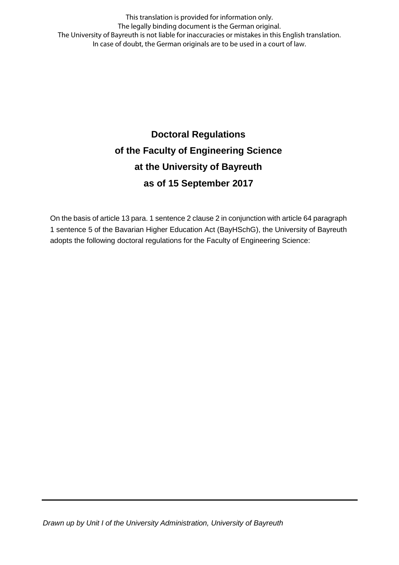This translation is provided for information only. The legally binding document is the German original. The University of Bayreuth is not liable for inaccuracies or mistakes in this English translation. In case of doubt, the German originals are to be used in a court of law.

# **Doctoral Regulations of the Faculty of Engineering Science at the University of Bayreuth as of 15 September 2017**

On the basis of article 13 para. 1 sentence 2 clause 2 in conjunction with article 64 paragraph 1 sentence 5 of the Bavarian Higher Education Act (BayHSchG), the University of Bayreuth adopts the following doctoral regulations for the Faculty of Engineering Science: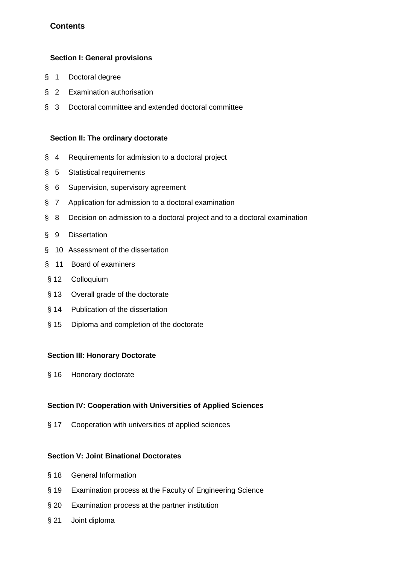# **Contents**

#### **Section I: General provisions**

- § 1 Doctoral degree
- § 2 Examination authorisation
- § 3 Doctoral committee and extended doctoral committee

#### **Section II: The ordinary doctorate**

- § 4 Requirements for admission to a doctoral project
- § 5 Statistical requirements
- § 6 Supervision, supervisory agreement
- § 7 Application for admission to a doctoral examination
- § 8 Decision on admission to a doctoral project and to a doctoral examination
- § 9 Dissertation
- § 10 Assessment of the dissertation
- § 11 Board of examiners
- § 12 Colloquium
- § 13 Overall grade of the doctorate
- § 14 Publication of the dissertation
- § 15 Diploma and completion of the doctorate

#### **Section III: Honorary Doctorate**

§ 16 Honorary doctorate

## **Section IV: Cooperation with Universities of Applied Sciences**

§ 17 Cooperation with universities of applied sciences

#### **Section V: Joint Binational Doctorates**

- § 18 General Information
- § 19 Examination process at the Faculty of Engineering Science
- § 20 Examination process at the partner institution
- § 21 Joint diploma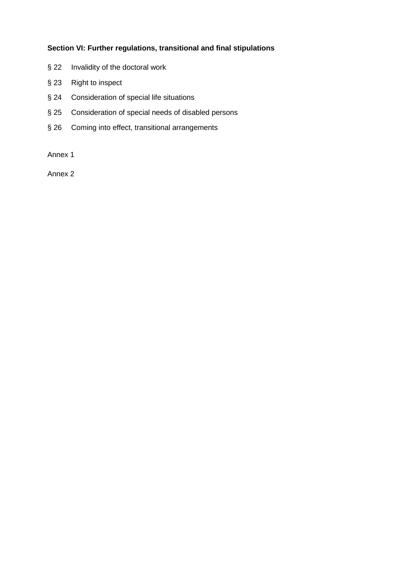### **Section VI: Further regulations, transitional and final stipulations**

- § 22 Invalidity of the doctoral work
- § 23 Right to inspect
- § 24 Consideration of special life situations
- § 25 Consideration of special needs of disabled persons
- § 26 Coming into effect, transitional arrangements

Annex 1

Annex 2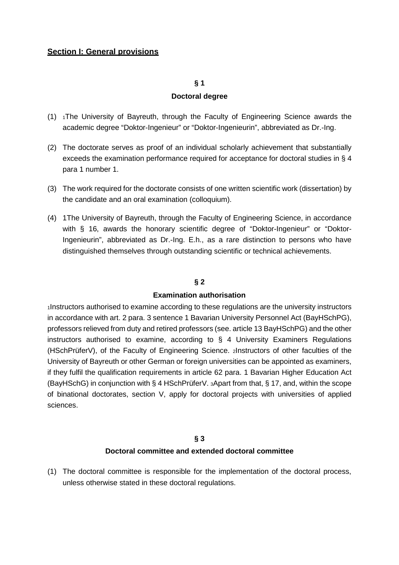#### **Section I: General provisions**

#### **§ 1**

#### **Doctoral degree**

- (1) 1The University of Bayreuth, through the Faculty of Engineering Science awards the academic degree "Doktor-Ingenieur" or "Doktor-Ingenieurin", abbreviated as Dr.-Ing.
- (2) The doctorate serves as proof of an individual scholarly achievement that substantially exceeds the examination performance required for acceptance for doctoral studies in § 4 para 1 number 1.
- (3) The work required for the doctorate consists of one written scientific work (dissertation) by the candidate and an oral examination (colloquium).
- (4) 1The University of Bayreuth, through the Faculty of Engineering Science, in accordance with § 16, awards the honorary scientific degree of "Doktor-Ingenieur" or "Doktor-Ingenieurin", abbreviated as Dr.-Ing. E.h., as a rare distinction to persons who have distinguished themselves through outstanding scientific or technical achievements.

#### **§ 2**

#### **Examination authorisation**

1Instructors authorised to examine according to these regulations are the university instructors in accordance with art. 2 para. 3 sentence 1 Bavarian University Personnel Act (BayHSchPG), professors relieved from duty and retired professors (see. article 13 BayHSchPG) and the other instructors authorised to examine, according to § 4 University Examiners Regulations (HSchPrüferV), of the Faculty of Engineering Science. 2Instructors of other faculties of the University of Bayreuth or other German or foreign universities can be appointed as examiners, if they fulfil the qualification requirements in article 62 para. 1 Bavarian Higher Education Act (BayHSchG) in conjunction with § 4 HSchPrüferV. 3Apart from that, § 17, and, within the scope of binational doctorates, section V, apply for doctoral projects with universities of applied sciences.

## **§ 3 Doctoral committee and extended doctoral committee**

(1) The doctoral committee is responsible for the implementation of the doctoral process, unless otherwise stated in these doctoral regulations.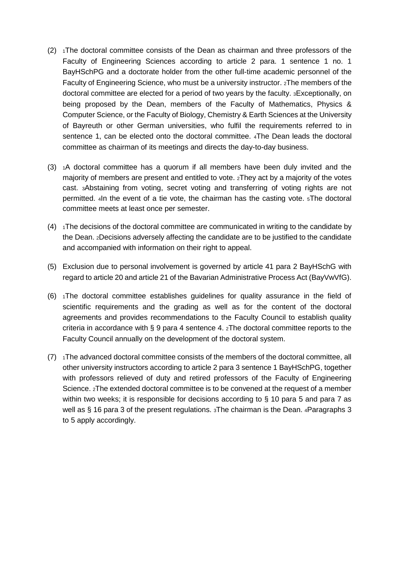- $(2)$  1The doctoral committee consists of the Dean as chairman and three professors of the Faculty of Engineering Sciences according to article 2 para. 1 sentence 1 no. 1 BayHSchPG and a doctorate holder from the other full-time academic personnel of the Faculty of Engineering Science, who must be a university instructor. 2The members of the doctoral committee are elected for a period of two years by the faculty. 3Exceptionally, on being proposed by the Dean, members of the Faculty of Mathematics, Physics & Computer Science, or the Faculty of Biology, Chemistry & Earth Sciences at the University of Bayreuth or other German universities, who fulfil the requirements referred to in sentence 1, can be elected onto the doctoral committee. 4The Dean leads the doctoral committee as chairman of its meetings and directs the day-to-day business.
- $(3)$  1A doctoral committee has a quorum if all members have been duly invited and the majority of members are present and entitled to vote. 2They act by a majority of the votes cast. 3Abstaining from voting, secret voting and transferring of voting rights are not permitted. 4In the event of a tie vote, the chairman has the casting vote. 5The doctoral committee meets at least once per semester.
- $(4)$  1The decisions of the doctoral committee are communicated in writing to the candidate by the Dean. 2Decisions adversely affecting the candidate are to be justified to the candidate and accompanied with information on their right to appeal.
- (5) Exclusion due to personal involvement is governed by article 41 para 2 BayHSchG with regard to article 20 and article 21 of the Bavarian Administrative Process Act (BayVwVfG).
- (6) 1The doctoral committee establishes guidelines for quality assurance in the field of scientific requirements and the grading as well as for the content of the doctoral agreements and provides recommendations to the Faculty Council to establish quality criteria in accordance with § 9 para 4 sentence 4. 2The doctoral committee reports to the Faculty Council annually on the development of the doctoral system.
- $(7)$  1The advanced doctoral committee consists of the members of the doctoral committee, all other university instructors according to article 2 para 3 sentence 1 BayHSchPG, together with professors relieved of duty and retired professors of the Faculty of Engineering Science. 2The extended doctoral committee is to be convened at the request of a member within two weeks; it is responsible for decisions according to § 10 para 5 and para 7 as well as § 16 para 3 of the present regulations. 3The chairman is the Dean. 4Paragraphs 3 to 5 apply accordingly.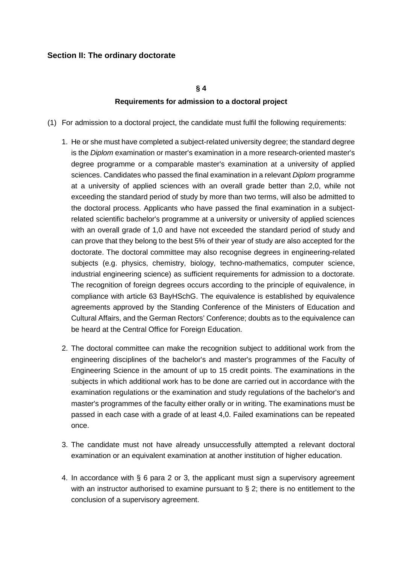## **Section II: The ordinary doctorate**

#### **§ 4**

#### **Requirements for admission to a doctoral project**

- (1) For admission to a doctoral project, the candidate must fulfil the following requirements:
	- 1. He or she must have completed a subject-related university degree; the standard degree is the *Diplom* examination or master's examination in a more research-oriented master's degree programme or a comparable master's examination at a university of applied sciences. Candidates who passed the final examination in a relevant *Diplom* programme at a university of applied sciences with an overall grade better than 2,0, while not exceeding the standard period of study by more than two terms, will also be admitted to the doctoral process. Applicants who have passed the final examination in a subjectrelated scientific bachelor's programme at a university or university of applied sciences with an overall grade of 1,0 and have not exceeded the standard period of study and can prove that they belong to the best 5% of their year of study are also accepted for the doctorate. The doctoral committee may also recognise degrees in engineering-related subjects (e.g. physics, chemistry, biology, techno-mathematics, computer science, industrial engineering science) as sufficient requirements for admission to a doctorate. The recognition of foreign degrees occurs according to the principle of equivalence, in compliance with article 63 BayHSchG. The equivalence is established by equivalence agreements approved by the Standing Conference of the Ministers of Education and Cultural Affairs, and the German Rectors' Conference; doubts as to the equivalence can be heard at the Central Office for Foreign Education.
	- 2. The doctoral committee can make the recognition subject to additional work from the engineering disciplines of the bachelor's and master's programmes of the Faculty of Engineering Science in the amount of up to 15 credit points. The examinations in the subjects in which additional work has to be done are carried out in accordance with the examination regulations or the examination and study regulations of the bachelor's and master's programmes of the faculty either orally or in writing. The examinations must be passed in each case with a grade of at least 4,0. Failed examinations can be repeated once.
	- 3. The candidate must not have already unsuccessfully attempted a relevant doctoral examination or an equivalent examination at another institution of higher education.
	- 4. In accordance with § 6 para 2 or 3, the applicant must sign a supervisory agreement with an instructor authorised to examine pursuant to  $\S$  2; there is no entitlement to the conclusion of a supervisory agreement.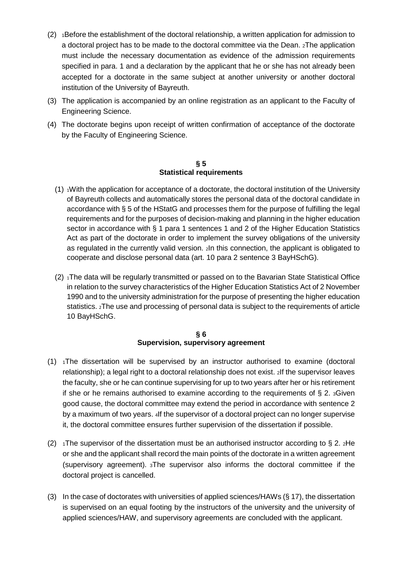- $(2)$  1Before the establishment of the doctoral relationship, a written application for admission to a doctoral project has to be made to the doctoral committee via the Dean. 2The application must include the necessary documentation as evidence of the admission requirements specified in para. 1 and a declaration by the applicant that he or she has not already been accepted for a doctorate in the same subject at another university or another doctoral institution of the University of Bayreuth.
- (3) The application is accompanied by an online registration as an applicant to the Faculty of Engineering Science.
- (4) The doctorate begins upon receipt of written confirmation of acceptance of the doctorate by the Faculty of Engineering Science.

#### **§ 5 Statistical requirements**

- (1)  $1$ With the application for acceptance of a doctorate, the doctoral institution of the University of Bayreuth collects and automatically stores the personal data of the doctoral candidate in accordance with § 5 of the HStatG and processes them for the purpose of fulfilling the legal requirements and for the purposes of decision-making and planning in the higher education sector in accordance with § 1 para 1 sentences 1 and 2 of the Higher Education Statistics Act as part of the doctorate in order to implement the survey obligations of the university as regulated in the currently valid version. 2In this connection, the applicant is obligated to cooperate and disclose personal data (art. 10 para 2 sentence 3 BayHSchG).
- (2) <sup>1</sup>The data will be regularly transmitted or passed on to the Bavarian State Statistical Office in relation to the survey characteristics of the Higher Education Statistics Act of 2 November 1990 and to the university administration for the purpose of presenting the higher education statistics. 2The use and processing of personal data is subject to the requirements of article 10 BayHSchG.

#### **§ 6 Supervision, supervisory agreement**

- $(1)$  <sub>1</sub>The dissertation will be supervised by an instructor authorised to examine (doctoral relationship); a legal right to a doctoral relationship does not exist. 2If the supervisor leaves the faculty, she or he can continue supervising for up to two years after her or his retirement if she or he remains authorised to examine according to the requirements of  $\S$  2.  $3$ Given good cause, the doctoral committee may extend the period in accordance with sentence 2 by a maximum of two years. 4If the supervisor of a doctoral project can no longer supervise it, the doctoral committee ensures further supervision of the dissertation if possible.
- (2)  $\pm$  1The supervisor of the dissertation must be an authorised instructor according to § 2.  $\pm$  He or she and the applicant shall record the main points of the doctorate in a written agreement (supervisory agreement). 3The supervisor also informs the doctoral committee if the doctoral project is cancelled.
- (3) In the case of doctorates with universities of applied sciences/HAWs (§ 17), the dissertation is supervised on an equal footing by the instructors of the university and the university of applied sciences/HAW, and supervisory agreements are concluded with the applicant.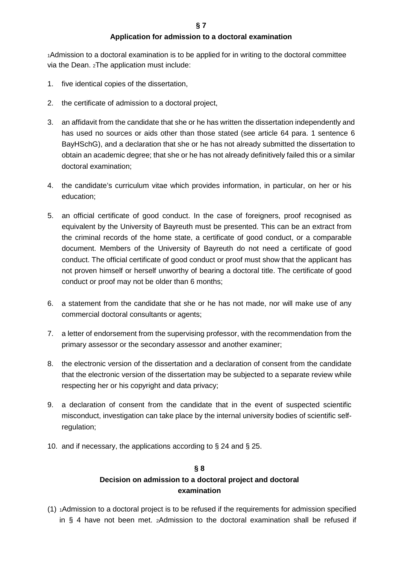#### **Application for admission to a doctoral examination**

1Admission to a doctoral examination is to be applied for in writing to the doctoral committee via the Dean. 2The application must include:

- 1. five identical copies of the dissertation,
- 2. the certificate of admission to a doctoral project,
- 3. an affidavit from the candidate that she or he has written the dissertation independently and has used no sources or aids other than those stated (see article 64 para. 1 sentence 6 BayHSchG), and a declaration that she or he has not already submitted the dissertation to obtain an academic degree; that she or he has not already definitively failed this or a similar doctoral examination;
- 4. the candidate's curriculum vitae which provides information, in particular, on her or his education;
- 5. an official certificate of good conduct. In the case of foreigners, proof recognised as equivalent by the University of Bayreuth must be presented. This can be an extract from the criminal records of the home state, a certificate of good conduct, or a comparable document. Members of the University of Bayreuth do not need a certificate of good conduct. The official certificate of good conduct or proof must show that the applicant has not proven himself or herself unworthy of bearing a doctoral title. The certificate of good conduct or proof may not be older than 6 months;
- 6. a statement from the candidate that she or he has not made, nor will make use of any commercial doctoral consultants or agents;
- 7. a letter of endorsement from the supervising professor, with the recommendation from the primary assessor or the secondary assessor and another examiner;
- 8. the electronic version of the dissertation and a declaration of consent from the candidate that the electronic version of the dissertation may be subjected to a separate review while respecting her or his copyright and data privacy;
- 9. a declaration of consent from the candidate that in the event of suspected scientific misconduct, investigation can take place by the internal university bodies of scientific selfregulation;
- 10. and if necessary, the applications according to § 24 and § 25.

# **§ 8**

# **Decision on admission to a doctoral project and doctoral examination**

(1) 1Admission to a doctoral project is to be refused if the requirements for admission specified in § 4 have not been met. 2Admission to the doctoral examination shall be refused if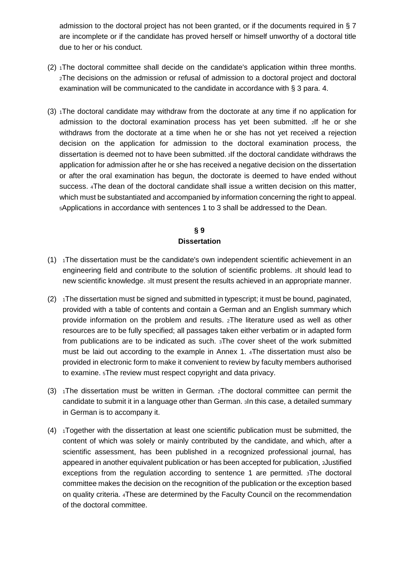admission to the doctoral project has not been granted, or if the documents required in § 7 are incomplete or if the candidate has proved herself or himself unworthy of a doctoral title due to her or his conduct.

- $(2)$  <sub>1</sub>The doctoral committee shall decide on the candidate's application within three months. 2The decisions on the admission or refusal of admission to a doctoral project and doctoral examination will be communicated to the candidate in accordance with § 3 para. 4.
- (3)  $1$ The doctoral candidate may withdraw from the doctorate at any time if no application for admission to the doctoral examination process has yet been submitted. 2If he or she withdraws from the doctorate at a time when he or she has not yet received a rejection decision on the application for admission to the doctoral examination process, the dissertation is deemed not to have been submitted. 3If the doctoral candidate withdraws the application for admission after he or she has received a negative decision on the dissertation or after the oral examination has begun, the doctorate is deemed to have ended without success. 4The dean of the doctoral candidate shall issue a written decision on this matter, which must be substantiated and accompanied by information concerning the right to appeal. 5Applications in accordance with sentences 1 to 3 shall be addressed to the Dean.

# **§ 9 Dissertation**

- $(1)$  1The dissertation must be the candidate's own independent scientific achievement in an engineering field and contribute to the solution of scientific problems. 2It should lead to new scientific knowledge. 3It must present the results achieved in an appropriate manner.
- $(2)$  1The dissertation must be signed and submitted in typescript; it must be bound, paginated, provided with a table of contents and contain a German and an English summary which provide information on the problem and results. 2The literature used as well as other resources are to be fully specified; all passages taken either verbatim or in adapted form from publications are to be indicated as such. 3The cover sheet of the work submitted must be laid out according to the example in Annex 1. 4The dissertation must also be provided in electronic form to make it convenient to review by faculty members authorised to examine. 5The review must respect copyright and data privacy.
- (3)  $\Delta$  1The dissertation must be written in German.  $\Delta$  2The doctoral committee can permit the candidate to submit it in a language other than German. 3In this case, a detailed summary in German is to accompany it.
- $(4)$  1Together with the dissertation at least one scientific publication must be submitted, the content of which was solely or mainly contributed by the candidate, and which, after a scientific assessment, has been published in a recognized professional journal, has appeared in another equivalent publication or has been accepted for publication, 2Justified exceptions from the regulation according to sentence 1 are permitted. 3The doctoral committee makes the decision on the recognition of the publication or the exception based on quality criteria. 4These are determined by the Faculty Council on the recommendation of the doctoral committee.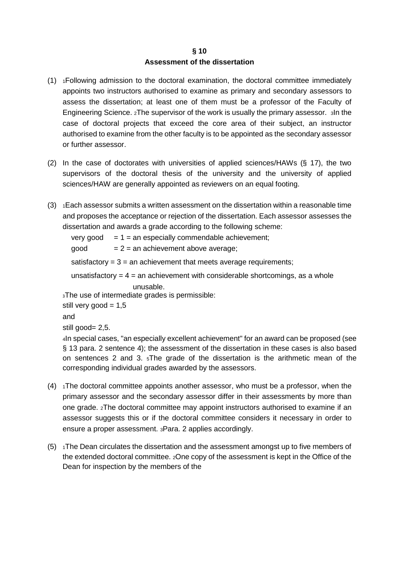### **§ 10 Assessment of the dissertation**

- (1) 1Following admission to the doctoral examination, the doctoral committee immediately appoints two instructors authorised to examine as primary and secondary assessors to assess the dissertation; at least one of them must be a professor of the Faculty of Engineering Science. 2The supervisor of the work is usually the primary assessor. 3In the case of doctoral projects that exceed the core area of their subject, an instructor authorised to examine from the other faculty is to be appointed as the secondary assessor or further assessor.
- (2) In the case of doctorates with universities of applied sciences/HAWs (§ 17), the two supervisors of the doctoral thesis of the university and the university of applied sciences/HAW are generally appointed as reviewers on an equal footing.
- $(3)$  1 Each assessor submits a written assessment on the dissertation within a reasonable time and proposes the acceptance or rejection of the dissertation. Each assessor assesses the dissertation and awards a grade according to the following scheme:

very good  $= 1 =$  an especially commendable achievement;  $good = 2 = an achievement above average;$ 

satisfactory  $= 3 =$  an achievement that meets average requirements;

unsatisfactory  $= 4 =$  an achievement with considerable shortcomings, as a whole unusable.

<sup>3</sup>The use of intermediate grades is permissible:

```
still very good = 1,5and
```
still good= 2,5.

4In special cases, "an especially excellent achievement" for an award can be proposed (see § 13 para. 2 sentence 4); the assessment of the dissertation in these cases is also based on sentences 2 and 3. 5The grade of the dissertation is the arithmetic mean of the corresponding individual grades awarded by the assessors.

- $(4)$  1The doctoral committee appoints another assessor, who must be a professor, when the primary assessor and the secondary assessor differ in their assessments by more than one grade. 2The doctoral committee may appoint instructors authorised to examine if an assessor suggests this or if the doctoral committee considers it necessary in order to ensure a proper assessment. 3Para. 2 applies accordingly.
- $(5)$  1The Dean circulates the dissertation and the assessment amongst up to five members of the extended doctoral committee. 2One copy of the assessment is kept in the Office of the Dean for inspection by the members of the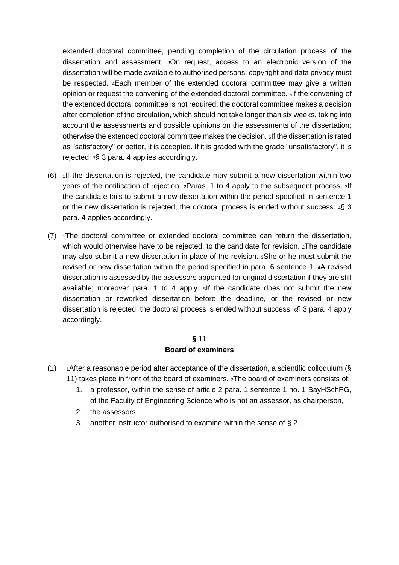extended doctoral committee, pending completion of the circulation process of the dissertation and assessment. 3On request, access to an electronic version of the dissertation will be made available to authorised persons; copyright and data privacy must be respected. 4Each member of the extended doctoral committee may give a written opinion or request the convening of the extended doctoral committee. 5If the convening of the extended doctoral committee is not required, the doctoral committee makes a decision after completion of the circulation, which should not take longer than six weeks, taking into account the assessments and possible opinions on the assessments of the dissertation; otherwise the extended doctoral committee makes the decision. 6If the dissertation is rated as "satisfactory" or better, it is accepted. If it is graded with the grade "unsatisfactory", it is rejected. 7§ 3 para. 4 applies accordingly.

- $(6)$  1If the dissertation is rejected, the candidate may submit a new dissertation within two years of the notification of rejection. 2Paras. 1 to 4 apply to the subsequent process. 3If the candidate fails to submit a new dissertation within the period specified in sentence 1 or the new dissertation is rejected, the doctoral process is ended without success. 4§ 3 para. 4 applies accordingly.
- (7) 1The doctoral committee or extended doctoral committee can return the dissertation, which would otherwise have to be rejected, to the candidate for revision.  $2$ The candidate may also submit a new dissertation in place of the revision. 3She or he must submit the revised or new dissertation within the period specified in para. 6 sentence 1. 4A revised dissertation is assessed by the assessors appointed for original dissertation if they are still available; moreover para. 1 to 4 apply. 5If the candidate does not submit the new dissertation or reworked dissertation before the deadline, or the revised or new dissertation is rejected, the doctoral process is ended without success.  $\epsilon$ § 3 para. 4 apply accordingly.

## **§ 11 Board of examiners**

- (1)  $\rightarrow$  1After a reasonable period after acceptance of the dissertation, a scientific colloquium (§ 11) takes place in front of the board of examiners. 2The board of examiners consists of:
	- 1. a professor, within the sense of article 2 para. 1 sentence 1 no. 1 BayHSchPG, of the Faculty of Engineering Science who is not an assessor, as chairperson,
	- 2. the assessors,
	- 3. another instructor authorised to examine within the sense of § 2.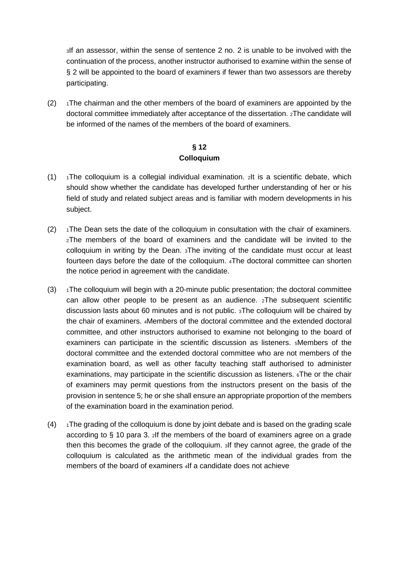3If an assessor, within the sense of sentence 2 no. 2 is unable to be involved with the continuation of the process, another instructor authorised to examine within the sense of § 2 will be appointed to the board of examiners if fewer than two assessors are thereby participating.

 $(2)$  1The chairman and the other members of the board of examiners are appointed by the doctoral committee immediately after acceptance of the dissertation. 2The candidate will be informed of the names of the members of the board of examiners.

## **§ 12 Colloquium**

- $(1)$  1The colloquium is a collegial individual examination. 2It is a scientific debate, which should show whether the candidate has developed further understanding of her or his field of study and related subject areas and is familiar with modern developments in his subject.
- $(2)$  1The Dean sets the date of the colloquium in consultation with the chair of examiners. 2The members of the board of examiners and the candidate will be invited to the colloquium in writing by the Dean. 3The inviting of the candidate must occur at least fourteen days before the date of the colloquium. 4The doctoral committee can shorten the notice period in agreement with the candidate.
- $(3)$  1The colloquium will begin with a 20-minute public presentation; the doctoral committee can allow other people to be present as an audience. 2The subsequent scientific discussion lasts about 60 minutes and is not public. 3The colloquium will be chaired by the chair of examiners. 4Members of the doctoral committee and the extended doctoral committee, and other instructors authorised to examine not belonging to the board of examiners can participate in the scientific discussion as listeners. 5Members of the doctoral committee and the extended doctoral committee who are not members of the examination board, as well as other faculty teaching staff authorised to administer examinations, may participate in the scientific discussion as listeners. 6The or the chair of examiners may permit questions from the instructors present on the basis of the provision in sentence 5; he or she shall ensure an appropriate proportion of the members of the examination board in the examination period.
- $(4)$  1The grading of the colloquium is done by joint debate and is based on the grading scale according to § 10 para 3. 2If the members of the board of examiners agree on a grade then this becomes the grade of the colloquium. 3If they cannot agree, the grade of the colloquium is calculated as the arithmetic mean of the individual grades from the members of the board of examiners 4If a candidate does not achieve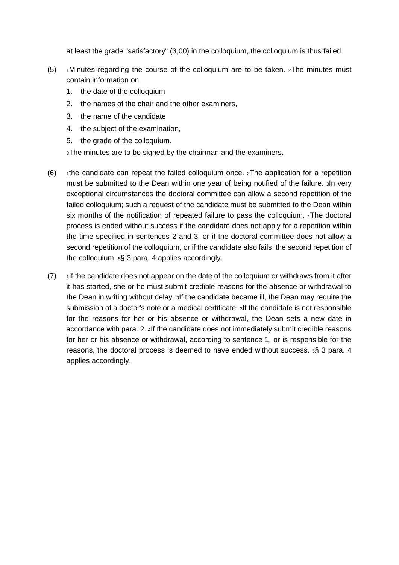at least the grade "satisfactory" (3,00) in the colloquium, the colloquium is thus failed.

- $(5)$  1Minutes regarding the course of the colloquium are to be taken.  $2$ The minutes must contain information on
	- 1. the date of the colloquium
	- 2. the names of the chair and the other examiners,
	- 3. the name of the candidate
	- 4. the subject of the examination,
	- 5. the grade of the colloquium.

**3The minutes are to be signed by the chairman and the examiners.** 

- (6)  $\rightarrow$  1the candidate can repeat the failed colloquium once.  $\alpha$ The application for a repetition must be submitted to the Dean within one year of being notified of the failure. 3In very exceptional circumstances the doctoral committee can allow a second repetition of the failed colloquium; such a request of the candidate must be submitted to the Dean within six months of the notification of repeated failure to pass the colloquium. 4The doctoral process is ended without success if the candidate does not apply for a repetition within the time specified in sentences 2 and 3, or if the doctoral committee does not allow a second repetition of the colloquium, or if the candidate also fails the second repetition of the colloquium. 5§ 3 para. 4 applies accordingly.
- $(7)$  1If the candidate does not appear on the date of the colloquium or withdraws from it after it has started, she or he must submit credible reasons for the absence or withdrawal to the Dean in writing without delay. 3If the candidate became ill, the Dean may require the submission of a doctor's note or a medical certificate. 3If the candidate is not responsible for the reasons for her or his absence or withdrawal, the Dean sets a new date in accordance with para. 2. 4If the candidate does not immediately submit credible reasons for her or his absence or withdrawal, according to sentence 1, or is responsible for the reasons, the doctoral process is deemed to have ended without success.  $5\frac{5}{3}$  3 para. 4 applies accordingly.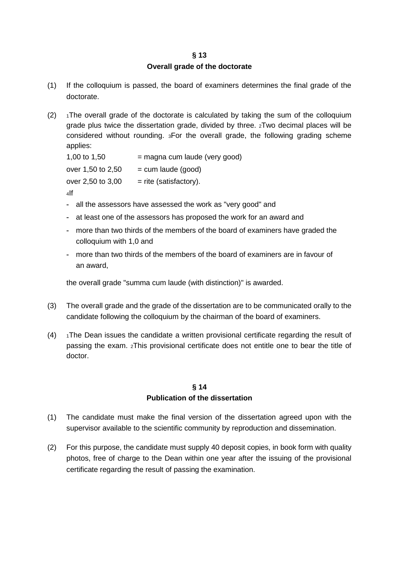## **§ 13 Overall grade of the doctorate**

- (1) If the colloquium is passed, the board of examiners determines the final grade of the doctorate.
- (2)  $\rightarrow$  1The overall grade of the doctorate is calculated by taking the sum of the colloquium grade plus twice the dissertation grade, divided by three. 2Two decimal places will be considered without rounding. 3For the overall grade, the following grading scheme applies:

| $=$ magna cum laude (very good) |
|---------------------------------|
| $=$ cum laude (good)            |
| $=$ rite (satisfactory).        |
|                                 |

4If

- all the assessors have assessed the work as "very good" and
- at least one of the assessors has proposed the work for an award and
- more than two thirds of the members of the board of examiners have graded the colloquium with 1,0 and
- more than two thirds of the members of the board of examiners are in favour of an award,

the overall grade "summa cum laude (with distinction)" is awarded.

- (3) The overall grade and the grade of the dissertation are to be communicated orally to the candidate following the colloquium by the chairman of the board of examiners.
- $(4)$  1The Dean issues the candidate a written provisional certificate regarding the result of passing the exam. 2This provisional certificate does not entitle one to bear the title of doctor.

## **§ 14 Publication of the dissertation**

- (1) The candidate must make the final version of the dissertation agreed upon with the supervisor available to the scientific community by reproduction and dissemination.
- (2) For this purpose, the candidate must supply 40 deposit copies, in book form with quality photos, free of charge to the Dean within one year after the issuing of the provisional certificate regarding the result of passing the examination.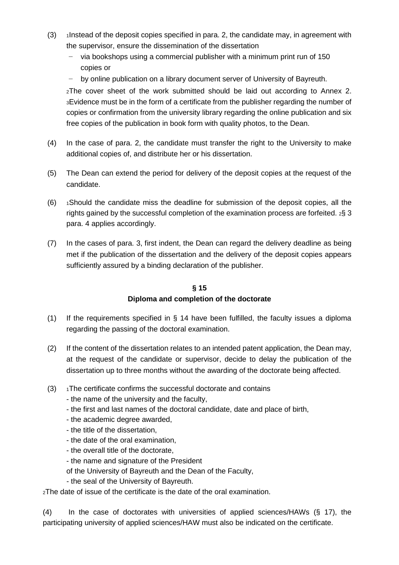- $(3)$  1Instead of the deposit copies specified in para. 2, the candidate may, in agreement with the supervisor, ensure the dissemination of the dissertation
	- − via bookshops using a commercial publisher with a minimum print run of 150 copies or
	- by online publication on a library document server of University of Bayreuth.

2The cover sheet of the work submitted should be laid out according to Annex 2. 3Evidence must be in the form of a certificate from the publisher regarding the number of copies or confirmation from the university library regarding the online publication and six free copies of the publication in book form with quality photos, to the Dean.

- (4) In the case of para. 2, the candidate must transfer the right to the University to make additional copies of, and distribute her or his dissertation.
- (5) The Dean can extend the period for delivery of the deposit copies at the request of the candidate.
- $(6)$  1Should the candidate miss the deadline for submission of the deposit copies, all the rights gained by the successful completion of the examination process are forfeited.  $2\frac{1}{2}$  3 para. 4 applies accordingly.
- (7) In the cases of para. 3, first indent, the Dean can regard the delivery deadline as being met if the publication of the dissertation and the delivery of the deposit copies appears sufficiently assured by a binding declaration of the publisher.

# **§ 15 Diploma and completion of the doctorate**

- (1) If the requirements specified in § 14 have been fulfilled, the faculty issues a diploma regarding the passing of the doctoral examination.
- (2) If the content of the dissertation relates to an intended patent application, the Dean may, at the request of the candidate or supervisor, decide to delay the publication of the dissertation up to three months without the awarding of the doctorate being affected.
- $(3)$  1The certificate confirms the successful doctorate and contains
	- the name of the university and the faculty,
	- the first and last names of the doctoral candidate, date and place of birth,
	- the academic degree awarded,
	- the title of the dissertation,
	- the date of the oral examination,
	- the overall title of the doctorate,
	- the name and signature of the President
	- of the University of Bayreuth and the Dean of the Faculty,
	- the seal of the University of Bayreuth.

<sup>2</sup>The date of issue of the certificate is the date of the oral examination.

(4) In the case of doctorates with universities of applied sciences/HAWs (§ 17), the participating university of applied sciences/HAW must also be indicated on the certificate.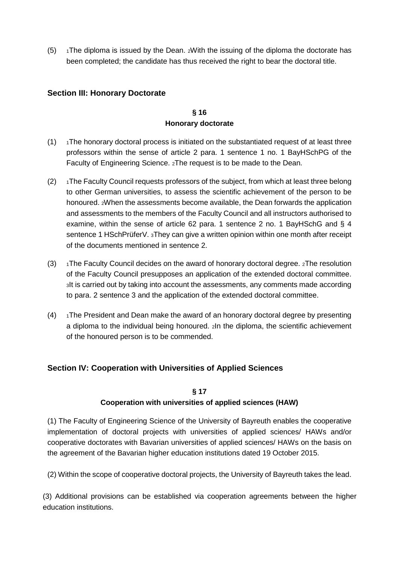$(5)$  1The diploma is issued by the Dean. 2With the issuing of the diploma the doctorate has been completed; the candidate has thus received the right to bear the doctoral title.

## **Section III: Honorary Doctorate**

# **§ 16 Honorary doctorate**

- $(1)$  1The honorary doctoral process is initiated on the substantiated request of at least three professors within the sense of article 2 para. 1 sentence 1 no. 1 BayHSchPG of the Faculty of Engineering Science. 2The request is to be made to the Dean.
- $(2)$  1The Faculty Council requests professors of the subject, from which at least three belong to other German universities, to assess the scientific achievement of the person to be honoured. 2When the assessments become available, the Dean forwards the application and assessments to the members of the Faculty Council and all instructors authorised to examine, within the sense of article 62 para. 1 sentence 2 no. 1 BayHSchG and § 4 sentence 1 HSchPrüferV. 3They can give a written opinion within one month after receipt of the documents mentioned in sentence 2.
- (3)  $\rightarrow$  1The Faculty Council decides on the award of honorary doctoral degree. 2The resolution of the Faculty Council presupposes an application of the extended doctoral committee. 3It is carried out by taking into account the assessments, any comments made according to para. 2 sentence 3 and the application of the extended doctoral committee.
- $(4)$  1The President and Dean make the award of an honorary doctoral degree by presenting a diploma to the individual being honoured. 2In the diploma, the scientific achievement of the honoured person is to be commended.

# **Section IV: Cooperation with Universities of Applied Sciences**

## **§ 17**

# **Cooperation with universities of applied sciences (HAW)**

(1) The Faculty of Engineering Science of the University of Bayreuth enables the cooperative implementation of doctoral projects with universities of applied sciences/ HAWs and/or cooperative doctorates with Bavarian universities of applied sciences/ HAWs on the basis on the agreement of the Bavarian higher education institutions dated 19 October 2015.

(2) Within the scope of cooperative doctoral projects, the University of Bayreuth takes the lead.

(3) Additional provisions can be established via cooperation agreements between the higher education institutions.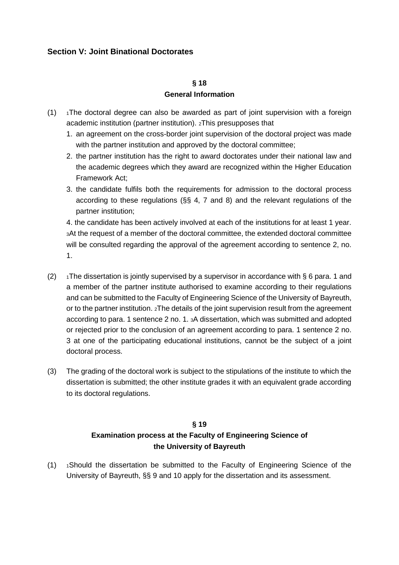# **Section V: Joint Binational Doctorates**

#### **§ 18**

### **General Information**

- $(1)$  1The doctoral degree can also be awarded as part of joint supervision with a foreign academic institution (partner institution). 2This presupposes that
	- 1. an agreement on the cross-border joint supervision of the doctoral project was made with the partner institution and approved by the doctoral committee;
	- 2. the partner institution has the right to award doctorates under their national law and the academic degrees which they award are recognized within the Higher Education Framework Act;
	- 3. the candidate fulfils both the requirements for admission to the doctoral process according to these regulations (§§ 4, 7 and 8) and the relevant regulations of the partner institution;

4. the candidate has been actively involved at each of the institutions for at least 1 year. 3At the request of a member of the doctoral committee, the extended doctoral committee will be consulted regarding the approval of the agreement according to sentence 2, no. 1.

- (2)  $\rightarrow$  1The dissertation is jointly supervised by a supervisor in accordance with § 6 para. 1 and a member of the partner institute authorised to examine according to their regulations and can be submitted to the Faculty of Engineering Science of the University of Bayreuth, or to the partner institution. 2The details of the joint supervision result from the agreement according to para. 1 sentence 2 no. 1. 3A dissertation, which was submitted and adopted or rejected prior to the conclusion of an agreement according to para. 1 sentence 2 no. 3 at one of the participating educational institutions, cannot be the subject of a joint doctoral process.
- (3) The grading of the doctoral work is subject to the stipulations of the institute to which the dissertation is submitted; the other institute grades it with an equivalent grade according to its doctoral regulations.

# **§ 19 Examination process at the Faculty of Engineering Science of the University of Bayreuth**

 $(1)$  1Should the dissertation be submitted to the Faculty of Engineering Science of the University of Bayreuth, §§ 9 and 10 apply for the dissertation and its assessment.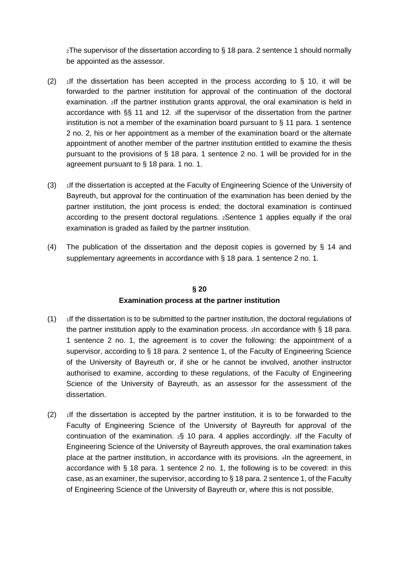2The supervisor of the dissertation according to § 18 para. 2 sentence 1 should normally be appointed as the assessor.

- (2)  $\frac{1}{1}$  if the dissertation has been accepted in the process according to § 10, it will be forwarded to the partner institution for approval of the continuation of the doctoral examination. 2If the partner institution grants approval, the oral examination is held in accordance with §§ 11 and 12. 3If the supervisor of the dissertation from the partner institution is not a member of the examination board pursuant to  $\S$  11 para. 1 sentence 2 no. 2, his or her appointment as a member of the examination board or the alternate appointment of another member of the partner institution entitled to examine the thesis pursuant to the provisions of § 18 para. 1 sentence 2 no. 1 will be provided for in the agreement pursuant to § 18 para. 1 no. 1.
- (3) 1If the dissertation is accepted at the Faculty of Engineering Science of the University of Bayreuth, but approval for the continuation of the examination has been denied by the partner institution, the joint process is ended; the doctoral examination is continued according to the present doctoral regulations. 2Sentence 1 applies equally if the oral examination is graded as failed by the partner institution.
- (4) The publication of the dissertation and the deposit copies is governed by § 14 and supplementary agreements in accordance with § 18 para. 1 sentence 2 no. 1.

## **§ 20**

## **Examination process at the partner institution**

- $(1)$  1If the dissertation is to be submitted to the partner institution, the doctoral regulations of the partner institution apply to the examination process. 2In accordance with § 18 para. 1 sentence 2 no. 1, the agreement is to cover the following: the appointment of a supervisor, according to § 18 para. 2 sentence 1, of the Faculty of Engineering Science of the University of Bayreuth or, if she or he cannot be involved, another instructor authorised to examine, according to these regulations, of the Faculty of Engineering Science of the University of Bayreuth, as an assessor for the assessment of the dissertation.
- $(2)$  1If the dissertation is accepted by the partner institution, it is to be forwarded to the Faculty of Engineering Science of the University of Bayreuth for approval of the continuation of the examination.  $2\frac{5}{3}$  10 para. 4 applies accordingly. 3If the Faculty of Engineering Science of the University of Bayreuth approves, the oral examination takes place at the partner institution, in accordance with its provisions. 4In the agreement, in accordance with § 18 para. 1 sentence 2 no. 1, the following is to be covered: in this case, as an examiner, the supervisor, according to § 18 para. 2 sentence 1, of the Faculty of Engineering Science of the University of Bayreuth or, where this is not possible,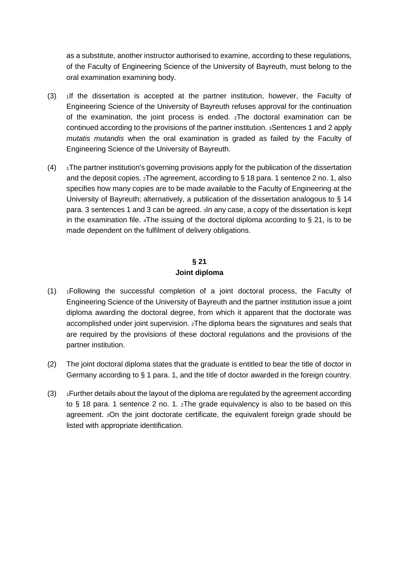as a substitute, another instructor authorised to examine, according to these regulations, of the Faculty of Engineering Science of the University of Bayreuth, must belong to the oral examination examining body.

- (3) 1If the dissertation is accepted at the partner institution, however, the Faculty of Engineering Science of the University of Bayreuth refuses approval for the continuation of the examination, the joint process is ended. 2The doctoral examination can be continued according to the provisions of the partner institution. 3Sentences 1 and 2 apply *mutatis mutandis* when the oral examination is graded as failed by the Faculty of Engineering Science of the University of Bayreuth.
- $(4)$  1The partner institution's governing provisions apply for the publication of the dissertation and the deposit copies. 2The agreement, according to § 18 para. 1 sentence 2 no. 1, also specifies how many copies are to be made available to the Faculty of Engineering at the University of Bayreuth; alternatively, a publication of the dissertation analogous to § 14 para. 3 sentences 1 and 3 can be agreed. 3In any case, a copy of the dissertation is kept in the examination file.  $4\text{The}$  issuing of the doctoral diploma according to § 21, is to be made dependent on the fulfilment of delivery obligations.

# **§ 21 Joint diploma**

- (1) 1Following the successful completion of a joint doctoral process, the Faculty of Engineering Science of the University of Bayreuth and the partner institution issue a joint diploma awarding the doctoral degree, from which it apparent that the doctorate was accomplished under joint supervision. 2The diploma bears the signatures and seals that are required by the provisions of these doctoral regulations and the provisions of the partner institution.
- (2) The joint doctoral diploma states that the graduate is entitled to bear the title of doctor in Germany according to § 1 para. 1, and the title of doctor awarded in the foreign country.
- $(3)$  1 Further details about the layout of the diploma are regulated by the agreement according to § 18 para. 1 sentence 2 no. 1.  $z$ The grade equivalency is also to be based on this agreement. 3On the joint doctorate certificate, the equivalent foreign grade should be listed with appropriate identification.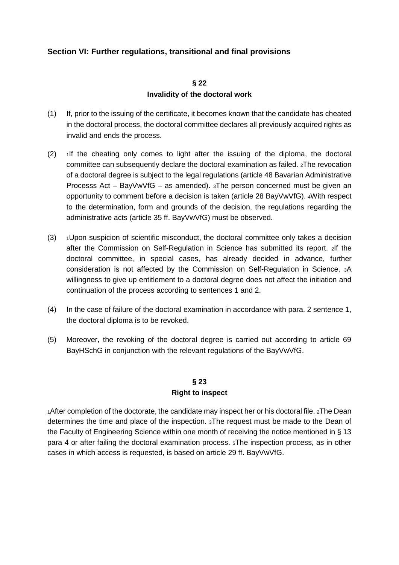# **Section VI: Further regulations, transitional and final provisions**

## **§ 22 Invalidity of the doctoral work**

- (1) If, prior to the issuing of the certificate, it becomes known that the candidate has cheated in the doctoral process, the doctoral committee declares all previously acquired rights as invalid and ends the process.
- $(2)$  1If the cheating only comes to light after the issuing of the diploma, the doctoral committee can subsequently declare the doctoral examination as failed. 2The revocation of a doctoral degree is subject to the legal regulations (article 48 Bavarian Administrative Processs Act – BayVwVfG – as amended). 3The person concerned must be given an opportunity to comment before a decision is taken (article 28 BayVwVfG). 4With respect to the determination, form and grounds of the decision, the regulations regarding the administrative acts (article 35 ff. BayVwVfG) must be observed.
- $(3)$   $\rightarrow$  Upon suspicion of scientific misconduct, the doctoral committee only takes a decision after the Commission on Self-Regulation in Science has submitted its report. 2If the doctoral committee, in special cases, has already decided in advance, further consideration is not affected by the Commission on Self-Regulation in Science. 3A willingness to give up entitlement to a doctoral degree does not affect the initiation and continuation of the process according to sentences 1 and 2.
- (4) In the case of failure of the doctoral examination in accordance with para. 2 sentence 1, the doctoral diploma is to be revoked.
- (5) Moreover, the revoking of the doctoral degree is carried out according to article 69 BayHSchG in conjunction with the relevant regulations of the BayVwVfG.

# **§ 23 Right to inspect**

1After completion of the doctorate, the candidate may inspect her or his doctoral file. 2The Dean determines the time and place of the inspection. 3The request must be made to the Dean of the Faculty of Engineering Science within one month of receiving the notice mentioned in § 13 para 4 or after failing the doctoral examination process. 5The inspection process, as in other cases in which access is requested, is based on article 29 ff. BayVwVfG.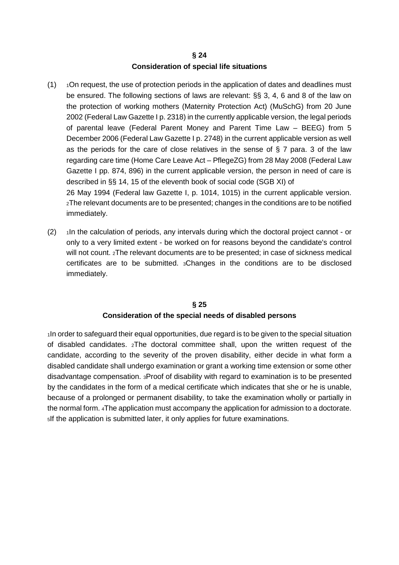## **§ 24 Consideration of special life situations**

 $(1)$  1On request, the use of protection periods in the application of dates and deadlines must be ensured. The following sections of laws are relevant: §§ 3, 4, 6 and 8 of the law on the protection of working mothers (Maternity Protection Act) (MuSchG) from 20 June 2002 (Federal Law Gazette I p. 2318) in the currently applicable version, the legal periods of parental leave (Federal Parent Money and Parent Time Law – BEEG) from 5 December 2006 (Federal Law Gazette I p. 2748) in the current applicable version as well as the periods for the care of close relatives in the sense of  $\S 7$  para. 3 of the law regarding care time (Home Care Leave Act – PflegeZG) from 28 May 2008 (Federal Law Gazette I pp. 874, 896) in the current applicable version, the person in need of care is described in §§ 14, 15 of the eleventh book of social code (SGB XI) of 26 May 1994 (Federal law Gazette I, p. 1014, 1015) in the current applicable version.

2The relevant documents are to be presented; changes in the conditions are to be notified immediately.

 $(2)$  1In the calculation of periods, any intervals during which the doctoral project cannot - or only to a very limited extent - be worked on for reasons beyond the candidate's control will not count. 2The relevant documents are to be presented; in case of sickness medical certificates are to be submitted. 3Changes in the conditions are to be disclosed immediately.

## **§ 25 Consideration of the special needs of disabled persons**

1In order to safeguard their equal opportunities, due regard is to be given to the special situation of disabled candidates. 2The doctoral committee shall, upon the written request of the candidate, according to the severity of the proven disability, either decide in what form a disabled candidate shall undergo examination or grant a working time extension or some other disadvantage compensation. 3Proof of disability with regard to examination is to be presented by the candidates in the form of a medical certificate which indicates that she or he is unable, because of a prolonged or permanent disability, to take the examination wholly or partially in the normal form. 4The application must accompany the application for admission to a doctorate. 5If the application is submitted later, it only applies for future examinations.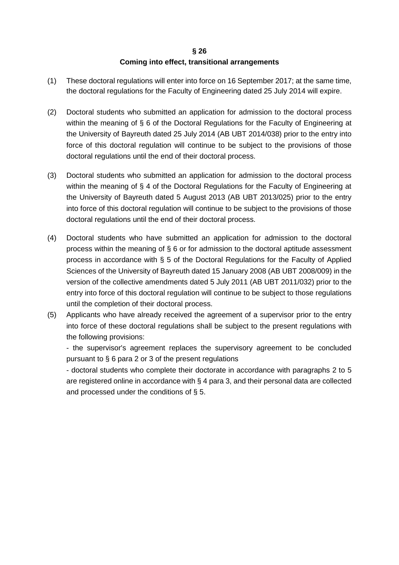## **§ 26 Coming into effect, transitional arrangements**

- (1) These doctoral regulations will enter into force on 16 September 2017; at the same time, the doctoral regulations for the Faculty of Engineering dated 25 July 2014 will expire.
- (2) Doctoral students who submitted an application for admission to the doctoral process within the meaning of § 6 of the Doctoral Regulations for the Faculty of Engineering at the University of Bayreuth dated 25 July 2014 (AB UBT 2014/038) prior to the entry into force of this doctoral regulation will continue to be subject to the provisions of those doctoral regulations until the end of their doctoral process.
- (3) Doctoral students who submitted an application for admission to the doctoral process within the meaning of § 4 of the Doctoral Regulations for the Faculty of Engineering at the University of Bayreuth dated 5 August 2013 (AB UBT 2013/025) prior to the entry into force of this doctoral regulation will continue to be subject to the provisions of those doctoral regulations until the end of their doctoral process.
- (4) Doctoral students who have submitted an application for admission to the doctoral process within the meaning of § 6 or for admission to the doctoral aptitude assessment process in accordance with § 5 of the Doctoral Regulations for the Faculty of Applied Sciences of the University of Bayreuth dated 15 January 2008 (AB UBT 2008/009) in the version of the collective amendments dated 5 July 2011 (AB UBT 2011/032) prior to the entry into force of this doctoral regulation will continue to be subject to those regulations until the completion of their doctoral process.
- (5) Applicants who have already received the agreement of a supervisor prior to the entry into force of these doctoral regulations shall be subject to the present regulations with the following provisions:

- the supervisor's agreement replaces the supervisory agreement to be concluded pursuant to § 6 para 2 or 3 of the present regulations

- doctoral students who complete their doctorate in accordance with paragraphs 2 to 5 are registered online in accordance with § 4 para 3, and their personal data are collected and processed under the conditions of § 5.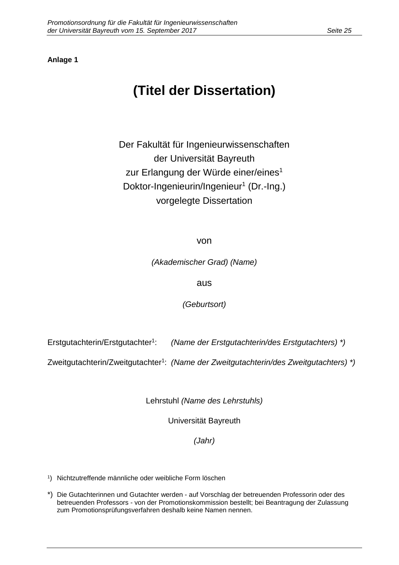# **(Titel der Dissertation)**

Der Fakultät für Ingenieurwissenschaften der Universität Bayreuth zur Erlangung der Würde einer/eines<sup>1</sup> Doktor-Ingenieurin/Ingenieur<sup>1</sup> (Dr.-Ing.) vorgelegte Dissertation

von

(Akademischer Grad) (Name)

aus

(Geburtsort)

Erstgutachterin/Erstgutachter<sup>1</sup>: : (Name der Erstgutachterin/des Erstgutachters) \*)

Zweitgutachterin/Zweitgutachter<sup>1</sup>: (Name der Zweitgutachterin/des Zweitgutachters)\*)

Lehrstuhl (Name des Lehrstuhls)

Universität Bayreuth

(Jahr)

1 ) Nichtzutreffende männliche oder weibliche Form löschen

\*) Die Gutachterinnen und Gutachter werden - auf Vorschlag der betreuenden Professorin oder des betreuenden Professors - von der Promotionskommission bestellt; bei Beantragung der Zulassung zum Promotionsprüfungsverfahren deshalb keine Namen nennen.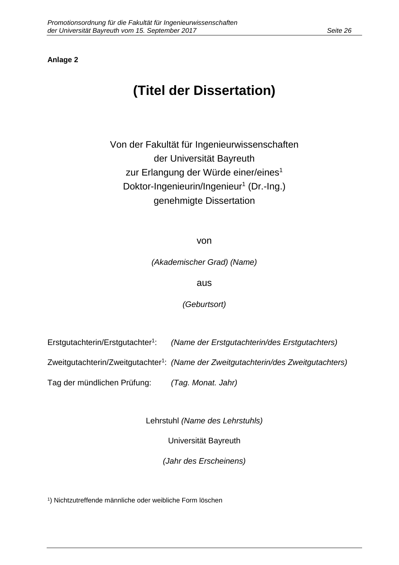#### **Anlage 2**

# **(Titel der Dissertation)**

Von der Fakultät für Ingenieurwissenschaften der Universität Bayreuth zur Erlangung der Würde einer/eines<sup>1</sup> Doktor-Ingenieurin/Ingenieur<sup>1</sup> (Dr.-Ing.) genehmigte Dissertation

von

(Akademischer Grad) (Name)

aus

(Geburtsort)

Erstgutachterin/Erstgutachter<sup>1</sup>: : (Name der Erstgutachterin/des Erstgutachters)

Zweitgutachterin/Zweitgutachter<sup>1</sup>: (Name der Zweitgutachterin/des Zweitgutachters)

Tag der mündlichen Prüfung: (Tag. Monat. Jahr)

Lehrstuhl (Name des Lehrstuhls)

Universität Bayreuth

(Jahr des Erscheinens)

1 ) Nichtzutreffende männliche oder weibliche Form löschen